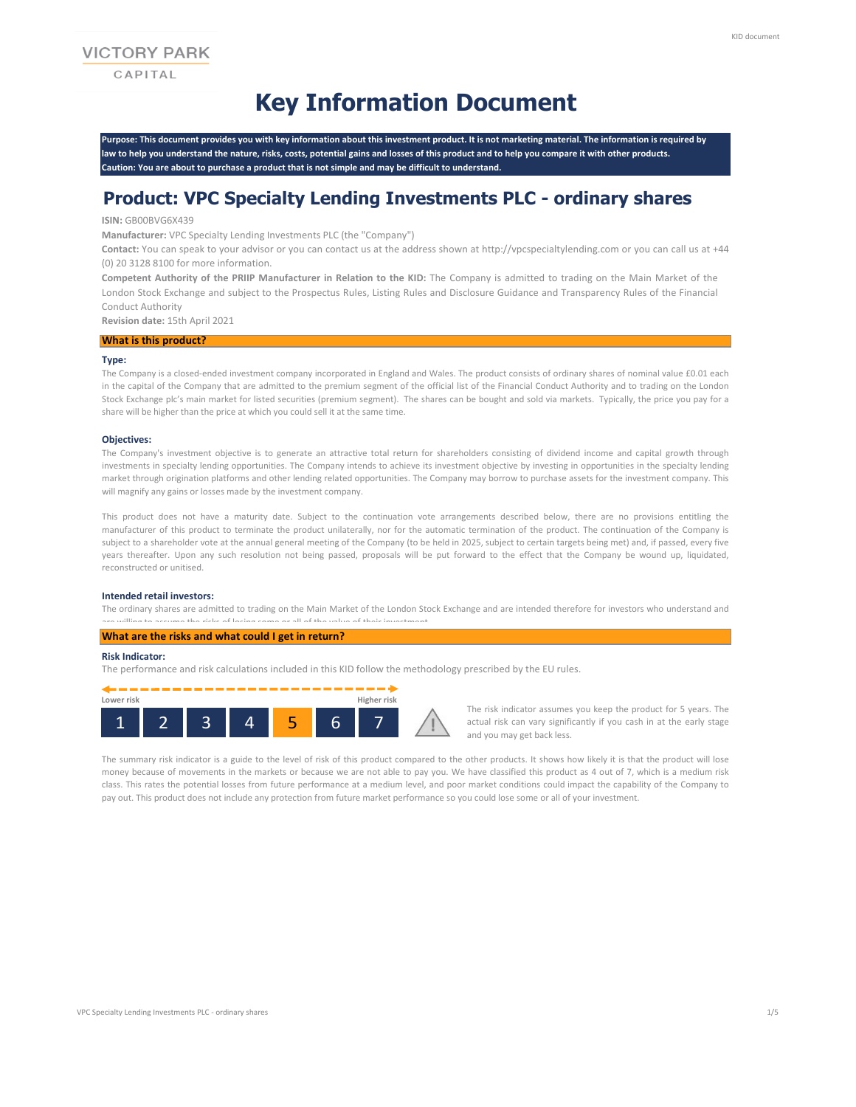## **VICTORY PARK**

 $CAPITAI$ 

# **Key Information Document**

**Purpose: This document provides you with key information about this investment product. It is not marketing material. The information is required by law to help you understand the nature, risks, costs, potential gains and losses of this product and to help you compare it with other products. Caution: You are about to purchase a product that is not simple and may be difficult to understand.**

## **Product: VPC Specialty Lending Investments PLC - ordinary shares**

**ISIN:** GB00BVG6X439

**Manufacturer:** VPC Specialty Lending Investments PLC (the "Company")

Contact: You can speak to your advisor or you can contact us at the address shown at http://vpcspecialtylending.com or you can call us at +44 (0) 20 3128 8100 for more information.

**Competent Authority of the PRIIP Manufacturer in Relation to the KID:** The Company is admitted to trading on the Main Market of the London Stock Exchange and subject to the Prospectus Rules, Listing Rules and Disclosure Guidance and Transparency Rules of the Financial Conduct Authority

**Revision date:** 15th April 2021

### **What is this product?**

#### **Type:**

The Company is a closed-ended investment company incorporated in England and Wales. The product consists of ordinary shares of nominal value £0.01 each in the capital of the Company that are admitted to the premium segment of the official list of the Financial Conduct Authority and to trading on the London Stock Exchange plc's main market for listed securities (premium segment). The shares can be bought and sold via markets. Typically, the price you pay for a share will be higher than the price at which you could sell it at the same time.

## **Objectives:**

The Company's investment objective is to generate an attractive total return for shareholders consisting of dividend income and capital growth through investments in specialty lending opportunities. The Company intends to achieve its investment objective by investing in opportunities in the specialty lending market through origination platforms and other lending related opportunities. The Company may borrow to purchase assets for the investment company. This will magnify any gains or losses made by the investment company.

This product does not have a maturity date. Subject to the continuation vote arrangements described below, there are no provisions entitling the manufacturer of this product to terminate the product unilaterally, nor for the automatic termination of the product. The continuation of the Company is subject to a shareholder vote at the annual general meeting of the Company (to be held in 2025, subject to certain targets being met) and, if passed, every five years thereafter. Upon any such resolution not being passed, proposals will be put forward to the effect that the Company be wound up, liquidated, reconstructed or unitised.

#### **Intended retail investors:**

The ordinary shares are admitted to trading on the Main Market of the London Stock Exchange and are intended therefore for investors who understand and are willing to accume the ricks of losing some or all of the value of their investment<br>

## **What are the risks and what could I get in return?**

#### **Risk Indicator:**

The performance and risk calculations included in this KID follow the methodology prescribed by the EU rules.



The risk indicator assumes you keep the product for 5 years. The actual risk can vary significantly if you cash in at the early stage and you may get back less.

The summary risk indicator is a guide to the level of risk of this product compared to the other products. It shows how likely it is that the product will lose money because of movements in the markets or because we are not able to pay you. We have classified this product as 4 out of 7, which is a medium risk class. This rates the potential losses from future performance at a medium level, and poor market conditions could impact the capability of the Company to pay out. This product does not include any protection from future market performance so you could lose some or all of your investment.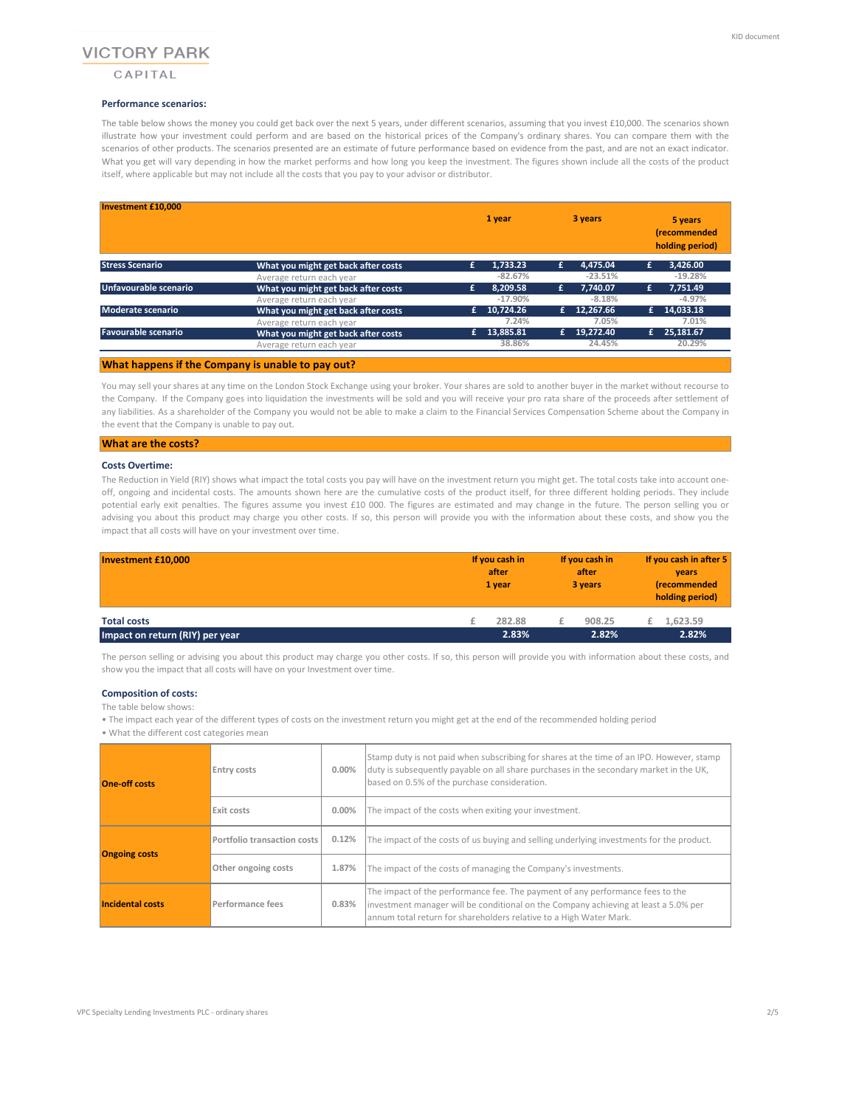## **VICTORY PARK**

## $CAPITAI$

#### **Performance scenarios:**

The table below shows the money you could get back over the next 5 years, under different scenarios, assuming that you invest £10,000. The scenarios shown illustrate how your investment could perform and are based on the historical prices of the Company's ordinary shares. You can compare them with the scenarios of other products. The scenarios presented are an estimate of future performance based on evidence from the past, and are not an exact indicator. What you get will vary depending in how the market performs and how long you keep the investment. The figures shown include all the costs of the product itself, where applicable but may not include all the costs that you pay to your advisor or distributor.

| <b>Investment £10.000</b>  |                                            |   | 1 year      |   | 3 years   |   | 5 years<br>(recommended<br>holding period) |  |
|----------------------------|--------------------------------------------|---|-------------|---|-----------|---|--------------------------------------------|--|
| <b>Stress Scenario</b>     | What you might get back after costs        | £ | 1.733.23    | £ | 4.475.04  | £ | 3,426.00                                   |  |
|                            | Average return each year                   |   | $-82.67%$   |   | $-23.51%$ |   | $-19.28%$                                  |  |
| Unfavourable scenario      | What you might get back after costs        | £ | 8.209.58    | £ | 7,740.07  | £ | 7.751.49                                   |  |
|                            | Average return each year                   |   | $-17.90%$   |   | $-8.18%$  |   | $-4.97%$                                   |  |
| Moderate scenario          | What you might get back after costs        |   | £ 10,724.26 | £ | 12.267.66 | £ | 14,033.18                                  |  |
|                            | Average return each year                   |   | 7.24%       |   | 7.05%     |   | 7.01%                                      |  |
| <b>Favourable scenario</b> | What you might get back after costs        | £ | 13,885.81   | £ | 19.272.40 | £ | 25,181.67                                  |  |
|                            | Average return each year                   |   | 38.86%      |   | 24.45%    |   | 20.29%                                     |  |
|                            | <b>Contract Contract Contract Contract</b> |   |             |   |           |   |                                            |  |

## **What happens if the Company is unable to pay out?**

You may sell your shares at any time on the London Stock Exchange using your broker. Your shares are sold to another buyer in the market without recourse to the Company. If the Company goes into liquidation the investments will be sold and you will receive your pro rata share of the proceeds after settlement of any liabilities. As a shareholder of the Company you would not be able to make a claim to the Financial Services Compensation Scheme about the Company in the event that the Company is unable to pay out.

## **What are the costs?**

### **Costs Overtime:**

The Reduction in Yield (RIY) shows what impact the total costs you pay will have on the investment return you might get. The total costs take into account oneoff, ongoing and incidental costs. The amounts shown here are the cumulative costs of the product itself, for three different holding periods. They include potential early exit penalties. The figures assume you invest £10 000. The figures are estimated and may change in the future. The person selling you or advising you about this product may charge you other costs. If so, this person will provide you with the information about these costs, and show you the impact that all costs will have on your investment over time.

| <b>Investment £10,000</b>       | If you cash in<br>after<br>1 year |        | If you cash in<br>after<br>3 years |   | If you cash in after 5<br><b>years</b><br>(recommended<br>holding period) |  |
|---------------------------------|-----------------------------------|--------|------------------------------------|---|---------------------------------------------------------------------------|--|
| <b>Total costs</b>              |                                   | 282.88 | 908.25                             | £ | 1.623.59                                                                  |  |
| Impact on return (RIY) per year |                                   | 2.83%  | 2.82%                              |   | 2.82%                                                                     |  |

The person selling or advising you about this product may charge you other costs. If so, this person will provide you with information about these costs, and show you the impact that all costs will have on your Investment over time.

## **Composition of costs:**

- The table below shows: • The impact each year of the different types of costs on the investment return you might get at the end of the recommended holding period
- What the different cost categories mean

| <b>One-off costs</b>    | <b>Entry costs</b>          | $0.00\%$ | Stamp duty is not paid when subscribing for shares at the time of an IPO. However, stamp<br>duty is subsequently payable on all share purchases in the secondary market in the UK,<br>based on 0.5% of the purchase consideration.         |
|-------------------------|-----------------------------|----------|--------------------------------------------------------------------------------------------------------------------------------------------------------------------------------------------------------------------------------------------|
|                         | Exit costs                  | $0.00\%$ | The impact of the costs when exiting your investment.                                                                                                                                                                                      |
| <b>Ongoing costs</b>    | Portfolio transaction costs | 0.12%    | The impact of the costs of us buying and selling underlying investments for the product.                                                                                                                                                   |
|                         | Other ongoing costs         | 1.87%    | The impact of the costs of managing the Company's investments.                                                                                                                                                                             |
| <b>Incidental costs</b> | Performance fees            | 0.83%    | The impact of the performance fee. The payment of any performance fees to the<br>investment manager will be conditional on the Company achieving at least a 5.0% per<br>annum total return for shareholders relative to a High Water Mark. |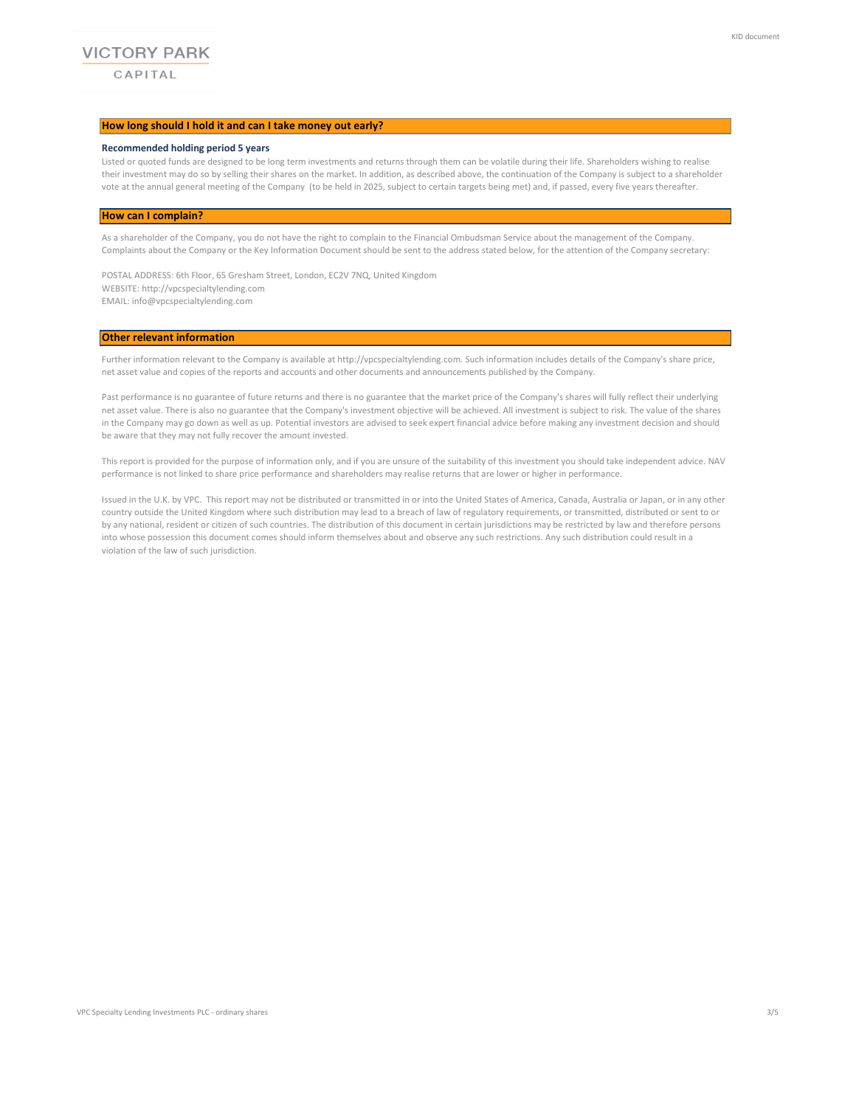## **How long should I hold it and can I take money out early?**

### **Recommended holding period 5 years**

Listed or quoted funds are designed to be long term investments and returns through them can be volatile during their life. Shareholders wishing to realise their investment may do so by selling their shares on the market. In addition, as described above, the continuation of the Company is subject to a shareholder vote at the annual general meeting of the Company (to be held in 2025, subject to certain targets being met) and, if passed, every five years thereafter.

## **How can I complain?**

As a shareholder of the Company, you do not have the right to complain to the Financial Ombudsman Service about the management of the Company. Complaints about the Company or the Key Information Document should be sent to the address stated below, for the attention of the Company secretary:

POSTAL ADDRESS: 6th Floor, 65 Gresham Street, London, EC2V 7NQ, United Kingdom WEBSITE: http://vpcspecialtylending.com EMAIL: info@vpcspecialtylending.com

## **Other relevant information**

Further information relevant to the Company is available at http://vpcspecialtylending.com. Such information includes details of the Company's share price, net asset value and copies of the reports and accounts and other documents and announcements published by the Company.

Past performance is no guarantee of future returns and there is no guarantee that the market price of the Company's shares will fully reflect their underlying net asset value. There is also no guarantee that the Company's investment objective will be achieved. All investment is subject to risk. The value of the shares in the Company may go down as well as up. Potential investors are advised to seek expert financial advice before making any investment decision and should be aware that they may not fully recover the amount invested.

This report is provided for the purpose of information only, and if you are unsure of the suitability of this investment you should take independent advice. NAV performance is not linked to share price performance and shareholders may realise returns that are lower or higher in performance.

Issued in the U.K. by VPC. This report may not be distributed or transmitted in or into the United States of America, Canada, Australia or Japan, or in any other country outside the United Kingdom where such distribution may lead to a breach of law of regulatory requirements, or transmitted, distributed or sent to or by any national, resident or citizen of such countries. The distribution of this document in certain jurisdictions may be restricted by law and therefore persons into whose possession this document comes should inform themselves about and observe any such restrictions. Any such distribution could result in a violation of the law of such jurisdiction.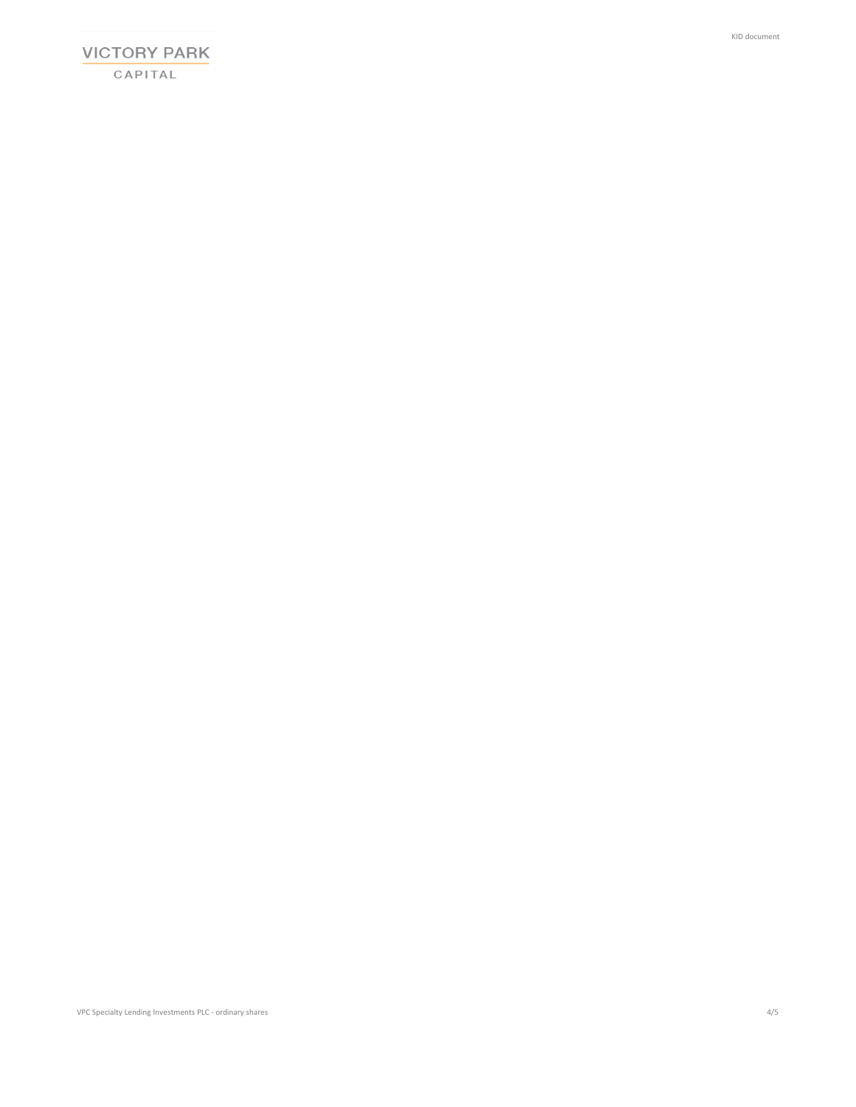**VICTORY PARK** CAPITAL